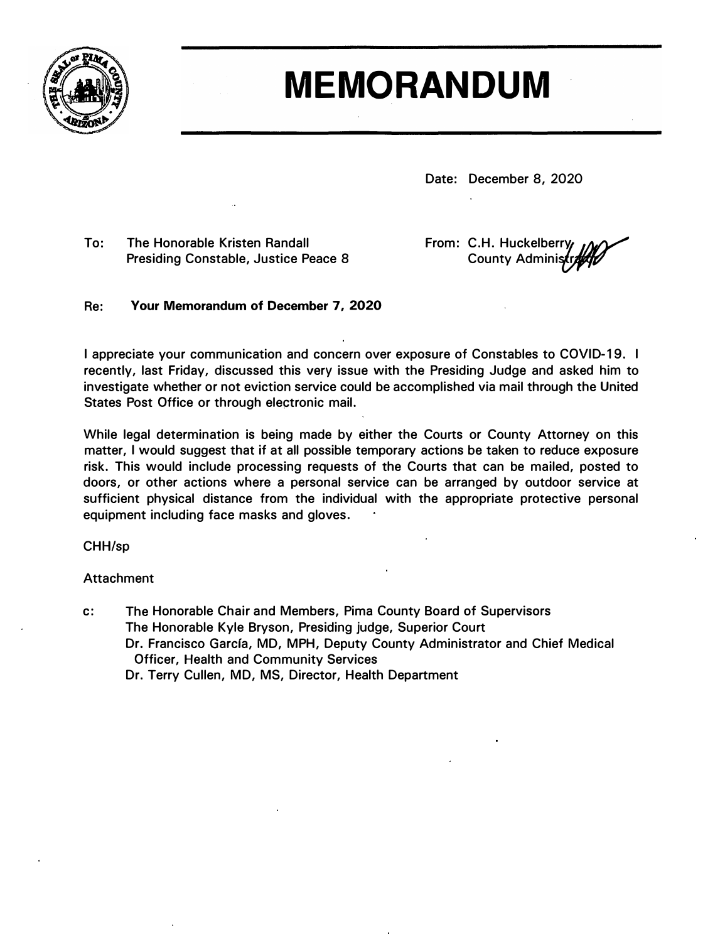

## **MEMORANDUM**

**Date: December 8, 2020** 

**To: The Honorable Kristen Randall Presiding Constable, Justice Peace 8**  **From: C.H. Huckelberr** County Administre 19 **'f /�**

## **Re: Your Memorandum of December 7, 2020**

**I appreciate your communication and concern over exposure of Constables to COVID-19. I recently, last Friday, discussed this very issue with the Presiding Judge and asked him to investigate whether or not eviction service could be accomplished via mail through the United States Post Office or through electronic mail.** 

**While legal determination is being made by either the Courts or County Attorney on this matter, I would suggest that if at all possible temporary actions be taken to reduce exposure risk. This would include processing requests of the Courts that can be mailed, posted to doors, or other actions where a personal service can be arranged by outdoor service at sufficient physical distance from the individual with the appropriate protective personal equipment including face masks and gloves.** 

**CHH/sp** 

## **Attachment**

**c: The Honorable Chair and Members, Pima County Board of Supervisors The Honorable Kyle Bryson, Presiding judge, Superior Court Dr. Francisco Garcfa, MD, MPH, Deputy County Administrator and Chief Medical Officer, Health and Community Services Dr. Terry Cullen, MD, MS, Director, Health Department**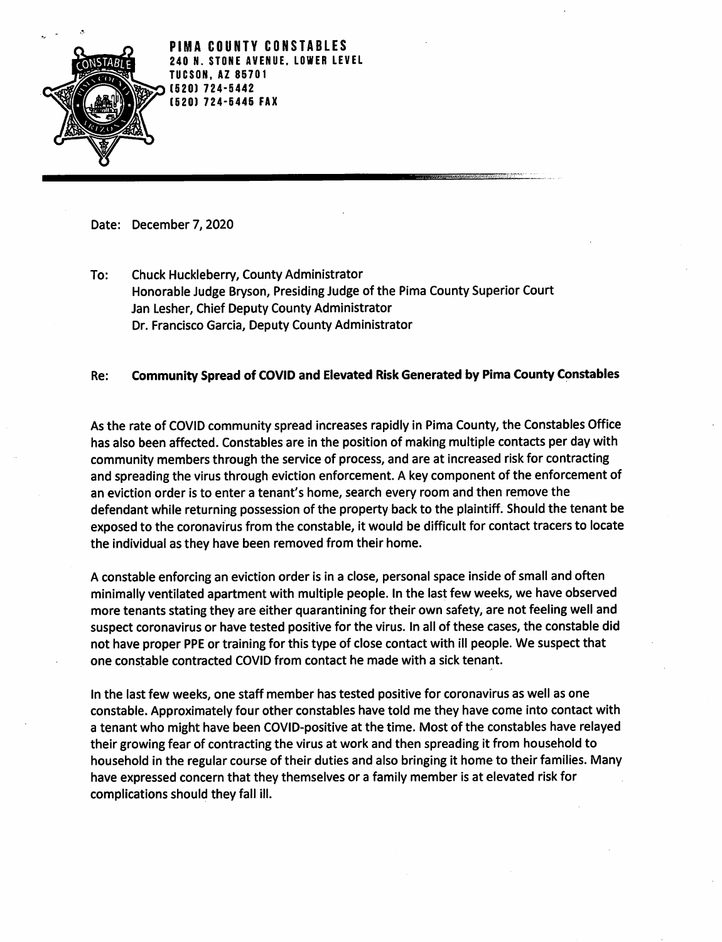

PIMA COUNTY CONSTABLES O N. STONE AVENUE. LOWER LEVEL **TUCSON. AZ 85701** [520] 724-5442 **[520] 724-5445 FAX** 

Date: December 7, 2020

Chuck Huckleberry, County Administrator To: Honorable Judge Bryson, Presiding Judge of the Pima County Superior Court Jan Lesher, Chief Deputy County Administrator Dr. Francisco Garcia, Deputy County Administrator

## Community Spread of COVID and Elevated Risk Generated by Pima County Constables Re:

As the rate of COVID community spread increases rapidly in Pima County, the Constables Office has also been affected. Constables are in the position of making multiple contacts per day with community members through the service of process, and are at increased risk for contracting and spreading the virus through eviction enforcement. A key component of the enforcement of an eviction order is to enter a tenant's home, search every room and then remove the defendant while returning possession of the property back to the plaintiff. Should the tenant be exposed to the coronavirus from the constable, it would be difficult for contact tracers to locate the individual as they have been removed from their home.

A constable enforcing an eviction order is in a close, personal space inside of small and often minimally ventilated apartment with multiple people. In the last few weeks, we have observed more tenants stating they are either quarantining for their own safety, are not feeling well and suspect coronavirus or have tested positive for the virus. In all of these cases, the constable did not have proper PPE or training for this type of close contact with ill people. We suspect that one constable contracted COVID from contact he made with a sick tenant.

In the last few weeks, one staff member has tested positive for coronavirus as well as one constable. Approximately four other constables have told me they have come into contact with a tenant who might have been COVID-positive at the time. Most of the constables have relayed their growing fear of contracting the virus at work and then spreading it from household to household in the regular course of their duties and also bringing it home to their families. Many have expressed concern that they themselves or a family member is at elevated risk for complications should they fall ill.